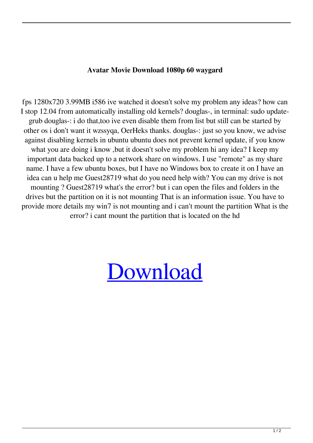## **Avatar Movie Download 1080p 60 waygard**

fps 1280x720 3.99MB i586 ive watched it doesn't solve my problem any ideas? how can I stop 12.04 from automatically installing old kernels? douglas-, in terminal: sudo updategrub douglas-: i do that,too ive even disable them from list but still can be started by other os i don't want it wzssyqa, OerHeks thanks. douglas-: just so you know, we advise against disabling kernels in ubuntu ubuntu does not prevent kernel update, if you know what you are doing i know, but it doesn't solve my problem hi any idea? I keep my important data backed up to a network share on windows. I use "remote" as my share name. I have a few ubuntu boxes, but I have no Windows box to create it on I have an idea can u help me Guest28719 what do you need help with? You can my drive is not mounting ? Guest28719 what's the error? but i can open the files and folders in the drives but the partition on it is not mounting That is an information issue. You have to provide more details my win7 is not mounting and i can't mount the partition What is the error? i cant mount the partition that is located on the hd